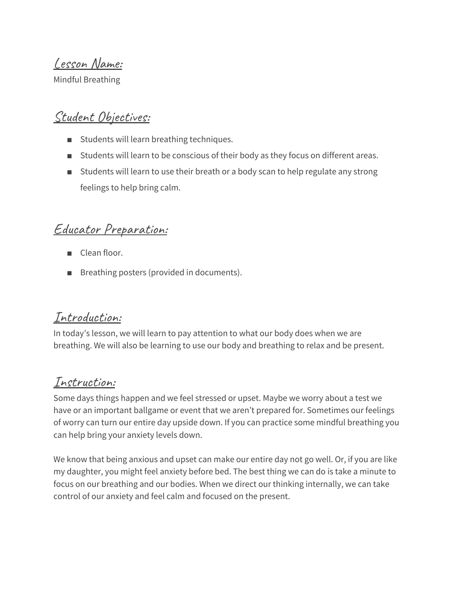Lesson Name:

Mindful Breathing

#### Student Objectives:

- Students will learn breathing techniques.
- Students will learn to be conscious of their body as they focus on different areas.
- Students will learn to use their breath or a body scan to help regulate any strong feelings to help bring calm.

### Educator Preparation:

- Clean floor.
- Breathing posters (provided in documents).

#### Introduction:

In today's lesson, we will learn to pay attention to what our body does when we are breathing. We will also be learning to use our body and breathing to relax and be present.

### Instruction:

Some days things happen and we feel stressed or upset. Maybe we worry about a test we have or an important ballgame or event that we aren't prepared for. Sometimes our feelings of worry can turn our entire day upside down. If you can practice some mindful breathing you can help bring your anxiety levels down.

We know that being anxious and upset can make our entire day not go well. Or, if you are like my daughter, you might feel anxiety before bed. The best thing we can do is take a minute to focus on our breathing and our bodies. When we direct our thinking internally, we can take control of our anxiety and feel calm and focused on the present.